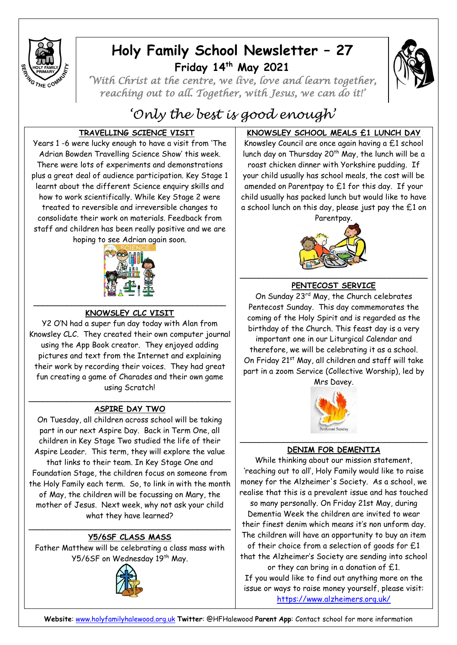

## **Holy Family School Newsletter – 27 Friday 14th May 2021**



*'With Christ at the centre, we live, love and learn together, reaching out to all. Together, with Jesus, we can do it!'* 

# *'Only the best is good enough'*

## **TRAVELLING SCIENCE VISIT**

Years 1 -6 were lucky enough to have a visit from 'The Adrian Bowden Travelling Science Show' this week. There were lots of experiments and demonstrations plus a great deal of audience participation. Key Stage 1 learnt about the different Science enquiry skills and how to work scientifically. While Key Stage 2 were treated to reversible and irreversible changes to consolidate their work on materials. Feedback from staff and children has been really positive and we are hoping to see Adrian again soon.



## **KNOWSLEY CLC VISIT**

Y2 O'N had a super fun day today with Alan from Knowsley CLC. They created their own computer journal using the App Book creator. They enjoyed adding pictures and text from the Internet and explaining their work by recording their voices. They had great fun creating a game of Charades and their own game using Scratch!

#### $\mathcal{L}=\{1,2,3,4,5\}$  , we can also assume that  $\mathcal{L}=\{1,3,4,5\}$ **ASPIRE DAY TWO**

On Tuesday, all children across school will be taking part in our next Aspire Day. Back in Term One, all children in Key Stage Two studied the life of their Aspire Leader. This term, they will explore the value that links to their team. In Key Stage One and Foundation Stage, the children focus on someone from the Holy Family each term. So, to link in with the month of May, the children will be focussing on Mary, the mother of Jesus. Next week, why not ask your child what they have learned?

#### $\mathcal{L}=\{1,2,3,4,5\}$  , we can assume that  $\mathcal{L}=\{1,2,3,4,5\}$ **Y5/6SF CLASS MASS**

Father Matthew will be celebrating a class mass with Y5/6SF on Wednesday 19<sup>th</sup> May.



## **KNOWSLEY SCHOOL MEALS £1 LUNCH DAY**

Knowsley Council are once again having a £1 school lunch day on Thursday 20<sup>th</sup> May, the lunch will be a roast chicken dinner with Yorkshire pudding. If your child usually has school meals, the cost will be amended on Parentpay to £1 for this day. If your child usually has packed lunch but would like to have a school lunch on this day, please just pay the £1 on Parentpay.



## **PENTECOST SERVICE**

On Sunday 23<sup>rd</sup> May, the Church celebrates Pentecost Sunday. This day commemorates the coming of the Holy Spirit and is regarded as the birthday of the Church. This feast day is a very important one in our Liturgical Calendar and therefore, we will be celebrating it as a school. On Friday 21<sup>st</sup> May, all children and staff will take part in a zoom Service (Collective Worship), led by

Mrs Davey.



## **DENIM FOR DEMENTIA**

While thinking about our mission statement, 'reaching out to all', Holy Family would like to raise money for the Alzheimer's Society. As a school, we realise that this is a prevalent issue and has touched so many personally. On Friday 21st May, during Dementia Week the children are invited to wear their finest denim which means it's non unform day. The children will have an opportunity to buy an item of their choice from a selection of goods for £1 that the Alzheimer's Society are sending into school or they can bring in a donation of £1. If you would like to find out anything more on the issue or ways to raise money yourself, please visit: <https://www.alzheimers.org.uk/>

**Website**: [www.holyfamilyhalewood.org.uk](http://www.holyfamilyhalewood.org.uk/) **Twitter**: @HFHalewood **Parent App**: Contact school for more information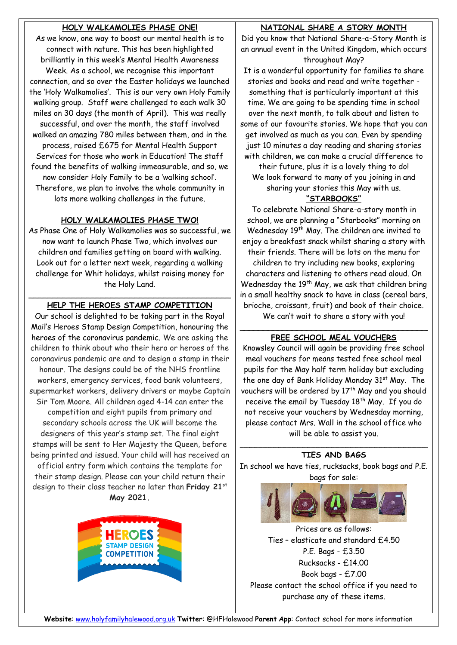## **HOLY WALKAMOLIES PHASE ONE!**

As we know, one way to boost our mental health is to connect with nature. This has been highlighted brilliantly in this week's Mental Health Awareness Week. As a school, we recognise this important connection, and so over the Easter holidays we launched the 'Holy Walkamolies'. This is our very own Holy Family walking group. Staff were challenged to each walk 30 miles on 30 days (the month of April). This was really successful, and over the month, the staff involved walked an amazing 780 miles between them, and in the process, raised £675 for Mental Health Support Services for those who work in Education! The staff found the benefits of walking immeasurable, and so, we now consider Holy Family to be a 'walking school'. Therefore, we plan to involve the whole community in lots more walking challenges in the future.

#### **HOLY WALKAMOLIES PHASE TWO!**

As Phase One of Holy Walkamolies was so successful, we now want to launch Phase Two, which involves our children and families getting on board with walking. Look out for a letter next week, regarding a walking challenge for Whit holidays, whilst raising money for the Holy Land.

#### \_\_\_\_\_\_\_\_\_\_\_\_\_\_\_\_\_\_\_\_\_\_\_\_\_\_\_\_\_\_\_\_\_\_\_\_\_\_\_\_\_\_ **HELP THE HEROES STAMP COMPETITION**

Our school is delighted to be taking part in the Royal Mail's Heroes Stamp Design Competition, honouring the heroes of the coronavirus pandemic. We are asking the children to think about who their hero or heroes of the coronavirus pandemic are and to design a stamp in their honour. The designs could be of the NHS frontline workers, emergency services, food bank volunteers, supermarket workers, delivery drivers or maybe Captain Sir Tom Moore. All children aged 4-14 can enter the competition and eight pupils from primary and secondary schools across the UK will become the designers of this year's stamp set. The final eight stamps will be sent to Her Majesty the Queen, before being printed and issued. Your child will has received an official entry form which contains the template for their stamp design. Please can your child return their design to their class teacher no later than **Friday 21st May 2021.**



## **NATIONAL SHARE A STORY MONTH**

Did you know that National Share-a-Story Month is an annual event in the United Kingdom, which occurs throughout May?

It is a wonderful opportunity for families to share stories and books and read and write together something that is particularly important at this time. We are going to be spending time in school over the next month, to talk about and listen to some of our favourite stories. We hope that you can get involved as much as you can. Even by spending just 10 minutes a day reading and sharing stories with children, we can make a crucial difference to

their future, plus it is a lovely thing to do! We look forward to many of you joining in and sharing your stories this May with us.

### **"STARBOOKS"**

To celebrate National Share-a-story month in school, we are planning a "Starbooks" morning on Wednesday 19<sup>th</sup> May. The children are invited to enjoy a breakfast snack whilst sharing a story with their friends. There will be lots on the menu for children to try including new books, exploring characters and listening to others read aloud. On Wednesday the 19<sup>th</sup> May, we ask that children bring in a small healthy snack to have in class (cereal bars, brioche, croissant, fruit) and book of their choice. We can't wait to share a story with you!

#### \_\_\_\_\_\_\_\_\_\_\_\_\_\_\_\_\_\_\_\_\_\_\_\_\_\_\_\_\_\_\_\_\_\_\_\_\_\_\_ **FREE SCHOOL MEAL VOUCHERS**

Knowsley Council will again be providing free school meal vouchers for means tested free school meal pupils for the May half term holiday but excluding the one day of Bank Holiday Monday 31<sup>st</sup> May. The vouchers will be ordered by 17<sup>th</sup> May and you should receive the email by Tuesday  $18<sup>th</sup>$  May. If you do not receive your vouchers by Wednesday morning, please contact Mrs. Wall in the school office who will be able to assist you.

#### \_\_\_\_\_\_\_\_\_\_\_\_\_\_\_\_\_\_\_\_\_\_\_\_\_\_\_\_\_\_\_\_\_\_\_\_\_\_\_ **TIES AND BAGS**

In school we have ties, rucksacks, book bags and P.E. bags for sale:



Prices are as follows: Ties – elasticate and standard £4.50 P.E. Bags - £3.50 Rucksacks - £14.00 Book bags - £7.00 Please contact the school office if you need to purchase any of these items.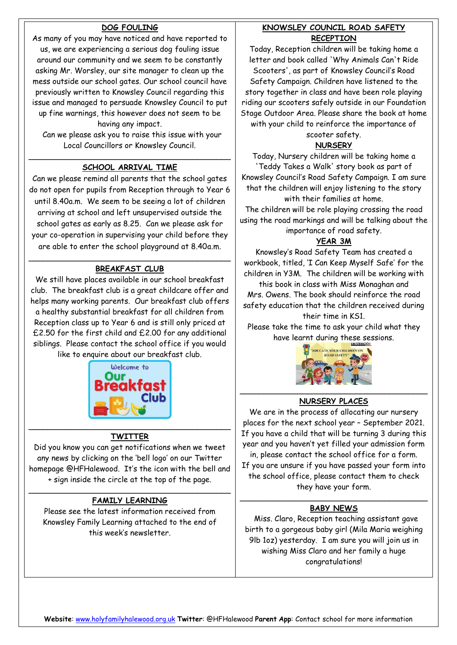## **DOG FOULING**

As many of you may have noticed and have reported to us, we are experiencing a serious dog fouling issue around our community and we seem to be constantly asking Mr. Worsley, our site manager to clean up the mess outside our school gates. Our school council have previously written to Knowsley Council regarding this issue and managed to persuade Knowsley Council to put up fine warnings, this however does not seem to be having any impact.

 Can we please ask you to raise this issue with your Local Councillors or Knowsley Council.

#### \_\_\_\_\_\_\_\_\_\_\_\_\_\_\_\_\_\_\_\_\_\_\_\_\_\_\_\_\_\_\_\_\_\_\_\_\_\_\_\_\_\_ **SCHOOL ARRIVAL TIME**

Can we please remind all parents that the school gates do not open for pupils from Reception through to Year 6 until 8.40a.m. We seem to be seeing a lot of children arriving at school and left unsupervised outside the school gates as early as 8.25. Can we please ask for your co-operation in supervising your child before they are able to enter the school playground at 8.40a.m.

#### \_\_\_\_\_\_\_\_\_\_\_\_\_\_\_\_\_\_\_\_\_\_\_\_\_\_\_\_\_\_\_\_\_\_\_\_\_\_\_\_\_\_ **BREAKFAST CLUB**

We still have places available in our school breakfast club. The breakfast club is a great childcare offer and helps many working parents. Our breakfast club offers a healthy substantial breakfast for all children from Reception class up to Year 6 and is still only priced at £2.50 for the first child and £2.00 for any additional siblings. Please contact the school office if you would like to enquire about our breakfast club.



#### **TWITTER**

Did you know you can get notifications when we tweet any news by clicking on the 'bell logo' on our Twitter homepage @HFHalewood. It's the icon with the bell and + sign inside the circle at the top of the page.

#### \_\_\_\_\_\_\_\_\_\_\_\_\_\_\_\_\_\_\_\_\_\_\_\_\_\_\_\_\_\_\_\_\_\_\_\_\_\_\_\_\_\_ **FAMILY LEARNING**

Please see the latest information received from Knowsley Family Learning attached to the end of this week's newsletter.

#### **KNOWSLEY COUNCIL ROAD SAFETY RECEPTION**

Today, Reception children will be taking home a letter and book called 'Why Animals Can't Ride Scooters', as part of Knowsley Council's Road Safety Campaign. Children have listened to the story together in class and have been role playing riding our scooters safely outside in our Foundation Stage Outdoor Area. Please share the book at home with your child to reinforce the importance of

scooter safety.

#### **NURSERY**

Today, Nursery children will be taking home a 'Teddy Takes a Walk' story book as part of Knowsley Council's Road Safety Campaign. I am sure that the children will enjoy listening to the story with their families at home.

The children will be role playing crossing the road using the road markings and will be talking about the importance of road safety.

#### **YEAR 3M**

Knowsley's Road Safety Team has created a workbook, titled, 'I Can Keep Myself Safe' for the children in Y3M. The children will be working with this book in class with Miss Monaghan and Mrs. Owens. The book should reinforce the road safety education that the children received during their time in KS1.

Please take the time to ask your child what they have learnt during these sessions.



#### \_\_\_\_\_\_\_\_\_\_\_\_\_\_\_\_\_\_\_\_\_\_\_\_\_\_\_\_\_\_\_\_\_\_\_\_\_\_\_ **NURSERY PLACES**

We are in the process of allocating our nursery places for the next school year – September 2021. If you have a child that will be turning 3 during this year and you haven't yet filled your admission form in, please contact the school office for a form. If you are unsure if you have passed your form into the school office, please contact them to check they have your form.

#### \_\_\_\_\_\_\_\_\_\_\_\_\_\_\_\_\_\_\_\_\_\_\_\_\_\_\_\_\_\_\_\_\_\_\_\_\_\_\_ **BABY NEWS**

 Miss. Claro, Reception teaching assistant gave birth to a gorgeous baby girl (Mila Maria weighing 9lb 1oz) yesterday. I am sure you will join us in wishing Miss Claro and her family a huge congratulations!